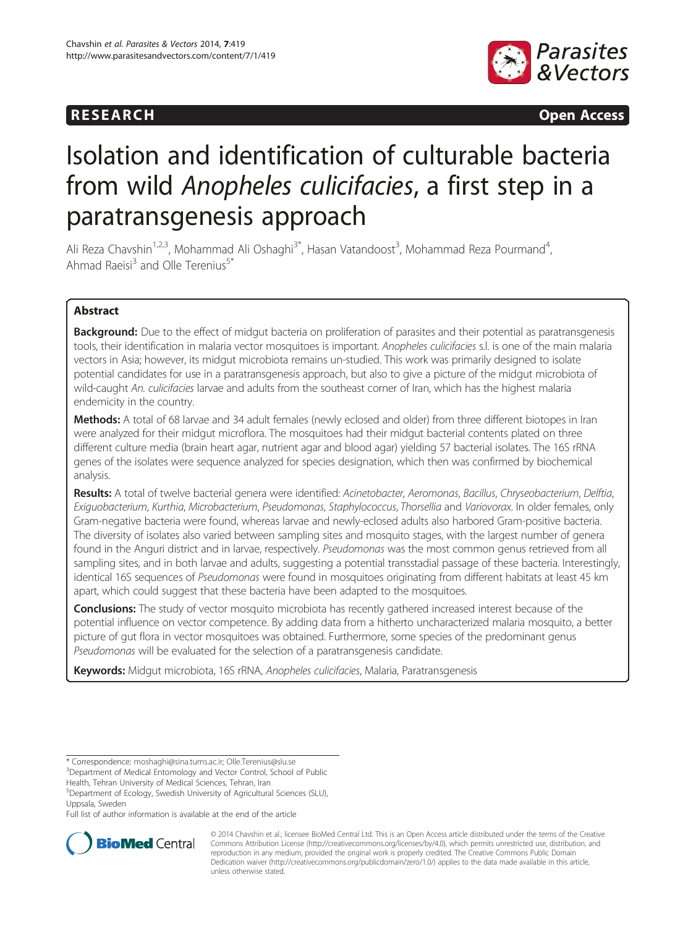

**RESEARCH CHINESEARCH CHINESEARCH CHINESE** 

# Isolation and identification of culturable bacteria from wild Anopheles culicifacies, a first step in a paratransgenesis approach

Ali Reza Chavshin<sup>1,2,3</sup>, Mohammad Ali Oshaghi<sup>3\*</sup>, Hasan Vatandoost<sup>3</sup>, Mohammad Reza Pourmand<sup>4</sup> , Ahmad Raeisi<sup>3</sup> and Olle Terenius<sup>5\*</sup>

# Abstract

**Background:** Due to the effect of midgut bacteria on proliferation of parasites and their potential as paratransgenesis tools, their identification in malaria vector mosquitoes is important. Anopheles culicifacies s.l. is one of the main malaria vectors in Asia; however, its midgut microbiota remains un-studied. This work was primarily designed to isolate potential candidates for use in a paratransgenesis approach, but also to give a picture of the midgut microbiota of wild-caught An. culicifacies larvae and adults from the southeast corner of Iran, which has the highest malaria endemicity in the country.

Methods: A total of 68 larvae and 34 adult females (newly eclosed and older) from three different biotopes in Iran were analyzed for their midgut microflora. The mosquitoes had their midgut bacterial contents plated on three different culture media (brain heart agar, nutrient agar and blood agar) yielding 57 bacterial isolates. The 16S rRNA genes of the isolates were sequence analyzed for species designation, which then was confirmed by biochemical analysis.

Results: A total of twelve bacterial genera were identified: Acinetobacter, Aeromonas, Bacillus, Chryseobacterium, Delftia, Exiguobacterium, Kurthia, Microbacterium, Pseudomonas, Staphylococcus, Thorsellia and Variovorax. In older females, only Gram-negative bacteria were found, whereas larvae and newly-eclosed adults also harbored Gram-positive bacteria. The diversity of isolates also varied between sampling sites and mosquito stages, with the largest number of genera found in the Anguri district and in larvae, respectively. Pseudomonas was the most common genus retrieved from all sampling sites, and in both larvae and adults, suggesting a potential transstadial passage of these bacteria. Interestingly, identical 16S sequences of Pseudomonas were found in mosquitoes originating from different habitats at least 45 km apart, which could suggest that these bacteria have been adapted to the mosquitoes.

**Conclusions:** The study of vector mosquito microbiota has recently gathered increased interest because of the potential influence on vector competence. By adding data from a hitherto uncharacterized malaria mosquito, a better picture of gut flora in vector mosquitoes was obtained. Furthermore, some species of the predominant genus Pseudomonas will be evaluated for the selection of a paratransgenesis candidate.

Keywords: Midgut microbiota, 16S rRNA, Anopheles culicifacies, Malaria, Paratransgenesis

Health, Tehran University of Medical Sciences, Tehran, Iran

5 Department of Ecology, Swedish University of Agricultural Sciences (SLU), Uppsala, Sweden

Full list of author information is available at the end of the article



© 2014 Chavshin et al.; licensee BioMed Central Ltd. This is an Open Access article distributed under the terms of the Creative Commons Attribution License [\(http://creativecommons.org/licenses/by/4.0\)](http://creativecommons.org/licenses/by/4.0), which permits unrestricted use, distribution, and reproduction in any medium, provided the original work is properly credited. The Creative Commons Public Domain Dedication waiver [\(http://creativecommons.org/publicdomain/zero/1.0/](http://creativecommons.org/publicdomain/zero/1.0/)) applies to the data made available in this article, unless otherwise stated.

<sup>\*</sup> Correspondence: [moshaghi@sina.tums.ac.ir](mailto:moshaghi@sina.tums.ac.ir); [Olle.Terenius@slu.se](mailto:Olle.Terenius@slu.se) <sup>3</sup>

<sup>&</sup>lt;sup>3</sup>Department of Medical Entomology and Vector Control, School of Public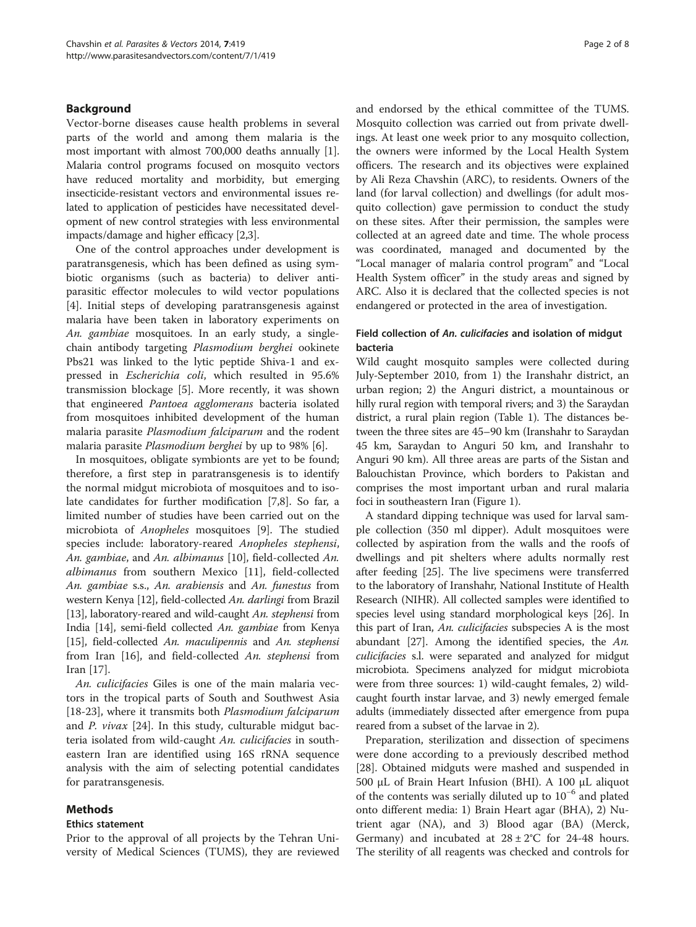# Background

Vector-borne diseases cause health problems in several parts of the world and among them malaria is the most important with almost 700,000 deaths annually [[1](#page-6-0)]. Malaria control programs focused on mosquito vectors have reduced mortality and morbidity, but emerging insecticide-resistant vectors and environmental issues related to application of pesticides have necessitated development of new control strategies with less environmental impacts/damage and higher efficacy [\[2,3\]](#page-6-0).

One of the control approaches under development is paratransgenesis, which has been defined as using symbiotic organisms (such as bacteria) to deliver antiparasitic effector molecules to wild vector populations [[4\]](#page-6-0). Initial steps of developing paratransgenesis against malaria have been taken in laboratory experiments on An. gambiae mosquitoes. In an early study, a singlechain antibody targeting Plasmodium berghei ookinete Pbs21 was linked to the lytic peptide Shiva-1 and expressed in Escherichia coli, which resulted in 95.6% transmission blockage [[5](#page-6-0)]. More recently, it was shown that engineered Pantoea agglomerans bacteria isolated from mosquitoes inhibited development of the human malaria parasite Plasmodium falciparum and the rodent malaria parasite Plasmodium berghei by up to 98% [\[6](#page-6-0)].

In mosquitoes, obligate symbionts are yet to be found; therefore, a first step in paratransgenesis is to identify the normal midgut microbiota of mosquitoes and to isolate candidates for further modification [\[7,8](#page-6-0)]. So far, a limited number of studies have been carried out on the microbiota of Anopheles mosquitoes [\[9\]](#page-7-0). The studied species include: laboratory-reared Anopheles stephensi, An. gambiae, and An. albimanus [[10\]](#page-7-0), field-collected An. albimanus from southern Mexico [\[11](#page-7-0)], field-collected An. gambiae s.s., An. arabiensis and An. funestus from western Kenya [\[12\]](#page-7-0), field-collected An. darlingi from Brazil [[13](#page-7-0)], laboratory-reared and wild-caught An. stephensi from India [\[14\]](#page-7-0), semi-field collected An. gambiae from Kenya [[15](#page-7-0)], field-collected An. maculipennis and An. stephensi from Iran [[16\]](#page-7-0), and field-collected An. stephensi from Iran [\[17](#page-7-0)].

An. culicifacies Giles is one of the main malaria vectors in the tropical parts of South and Southwest Asia [[18-23](#page-7-0)], where it transmits both *Plasmodium falciparum* and  $P.$  vivax [\[24](#page-7-0)]. In this study, culturable midgut bacteria isolated from wild-caught An. culicifacies in southeastern Iran are identified using 16S rRNA sequence analysis with the aim of selecting potential candidates for paratransgenesis.

# Methods

### Ethics statement

Prior to the approval of all projects by the Tehran University of Medical Sciences (TUMS), they are reviewed

and endorsed by the ethical committee of the TUMS. Mosquito collection was carried out from private dwellings. At least one week prior to any mosquito collection, the owners were informed by the Local Health System officers. The research and its objectives were explained by Ali Reza Chavshin (ARC), to residents. Owners of the land (for larval collection) and dwellings (for adult mosquito collection) gave permission to conduct the study on these sites. After their permission, the samples were collected at an agreed date and time. The whole process was coordinated, managed and documented by the "Local manager of malaria control program" and "Local Health System officer" in the study areas and signed by ARC. Also it is declared that the collected species is not endangered or protected in the area of investigation.

# Field collection of An. culicifacies and isolation of midgut bacteria

Wild caught mosquito samples were collected during July-September 2010, from 1) the Iranshahr district, an urban region; 2) the Anguri district, a mountainous or hilly rural region with temporal rivers; and 3) the Saraydan district, a rural plain region (Table [1](#page-2-0)). The distances between the three sites are 45–90 km (Iranshahr to Saraydan 45 km, Saraydan to Anguri 50 km, and Iranshahr to Anguri 90 km). All three areas are parts of the Sistan and Balouchistan Province, which borders to Pakistan and comprises the most important urban and rural malaria foci in southeastern Iran (Figure [1\)](#page-2-0).

A standard dipping technique was used for larval sample collection (350 ml dipper). Adult mosquitoes were collected by aspiration from the walls and the roofs of dwellings and pit shelters where adults normally rest after feeding [[25\]](#page-7-0). The live specimens were transferred to the laboratory of Iranshahr, National Institute of Health Research (NIHR). All collected samples were identified to species level using standard morphological keys [[26](#page-7-0)]. In this part of Iran, An. culicifacies subspecies A is the most abundant  $[27]$  $[27]$ . Among the identified species, the An. culicifacies s.l. were separated and analyzed for midgut microbiota. Specimens analyzed for midgut microbiota were from three sources: 1) wild-caught females, 2) wildcaught fourth instar larvae, and 3) newly emerged female adults (immediately dissected after emergence from pupa reared from a subset of the larvae in 2).

Preparation, sterilization and dissection of specimens were done according to a previously described method [[28\]](#page-7-0). Obtained midguts were mashed and suspended in 500 μL of Brain Heart Infusion (BHI). A 100 μL aliquot of the contents was serially diluted up to 10−<sup>6</sup> and plated onto different media: 1) Brain Heart agar (BHA), 2) Nutrient agar (NA), and 3) Blood agar (BA) (Merck, Germany) and incubated at  $28 \pm 2^{\circ}$ C for 24-48 hours. The sterility of all reagents was checked and controls for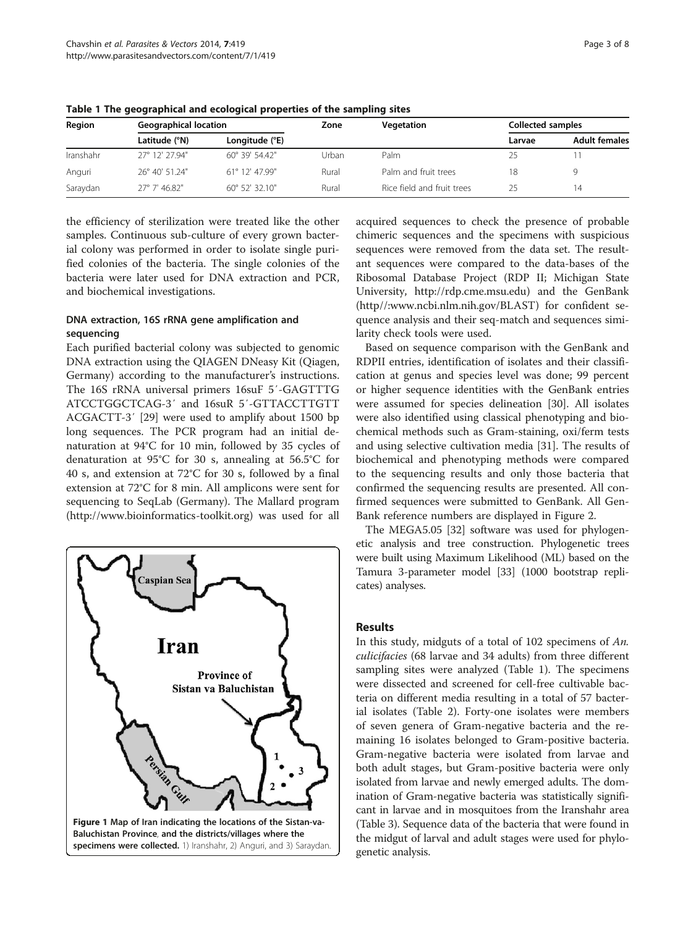| Region    | Geographical location  |                         | Zone  | Vegetation                 | <b>Collected samples</b> |                      |
|-----------|------------------------|-------------------------|-------|----------------------------|--------------------------|----------------------|
|           | Latitude (°N)          | Longitude (°E)          |       |                            | Larvae                   | <b>Adult females</b> |
| Iranshahr | 27° 12' 27.94"         | 60° 39' 54.42"          | Urban | Palm                       | 25                       |                      |
| Anguri    | 26° 40' 51.24"         | 61° 12' 47.99"          | Rural | Palm and fruit trees       | 18                       |                      |
| Saraydan  | $27^{\circ}$ 7' 46.82" | $60^{\circ}$ 52' 32.10" | Rural | Rice field and fruit trees | 25                       | 14                   |

<span id="page-2-0"></span>Table 1 The geographical and ecological properties of the sampling sites

the efficiency of sterilization were treated like the other samples. Continuous sub-culture of every grown bacterial colony was performed in order to isolate single purified colonies of the bacteria. The single colonies of the bacteria were later used for DNA extraction and PCR, and biochemical investigations.

# DNA extraction, 16S rRNA gene amplification and sequencing

Each purified bacterial colony was subjected to genomic DNA extraction using the QIAGEN DNeasy Kit (Qiagen, Germany) according to the manufacturer's instructions. The 16S rRNA universal primers 16suF 5′-GAGTTTG ATCCTGGCTCAG-3′ and 16suR 5′-GTTACCTTGTT ACGACTT-3′ [[29\]](#page-7-0) were used to amplify about 1500 bp long sequences. The PCR program had an initial denaturation at 94°C for 10 min, followed by 35 cycles of denaturation at 95°C for 30 s, annealing at 56.5°C for 40 s, and extension at 72°C for 30 s, followed by a final extension at 72°C for 8 min. All amplicons were sent for sequencing to SeqLab (Germany). The Mallard program ([http://www.bioinformatics-toolkit.org\)](http://www.bioinformatics-toolkit.org) was used for all



acquired sequences to check the presence of probable chimeric sequences and the specimens with suspicious sequences were removed from the data set. The resultant sequences were compared to the data-bases of the Ribosomal Database Project (RDP II; Michigan State University, [http://rdp.cme.msu.edu\)](http://rdp.cme.msu.edu) and the GenBank (http//[:www.ncbi.nlm.nih.gov/BLAST](http://www.ncbi.nlm.nih.gov/BLAST)) for confident sequence analysis and their seq-match and sequences similarity check tools were used.

Based on sequence comparison with the GenBank and RDPII entries, identification of isolates and their classification at genus and species level was done; 99 percent or higher sequence identities with the GenBank entries were assumed for species delineation [[30\]](#page-7-0). All isolates were also identified using classical phenotyping and biochemical methods such as Gram-staining, oxi/ferm tests and using selective cultivation media [[31\]](#page-7-0). The results of biochemical and phenotyping methods were compared to the sequencing results and only those bacteria that confirmed the sequencing results are presented. All confirmed sequences were submitted to GenBank. All Gen-Bank reference numbers are displayed in Figure [2](#page-4-0).

The MEGA5.05 [[32](#page-7-0)] software was used for phylogenetic analysis and tree construction. Phylogenetic trees were built using Maximum Likelihood (ML) based on the Tamura 3-parameter model [\[33](#page-7-0)] (1000 bootstrap replicates) analyses.

# Results

In this study, midguts of a total of 102 specimens of An. culicifacies (68 larvae and 34 adults) from three different sampling sites were analyzed (Table 1). The specimens were dissected and screened for cell-free cultivable bacteria on different media resulting in a total of 57 bacterial isolates (Table [2](#page-4-0)). Forty-one isolates were members of seven genera of Gram-negative bacteria and the remaining 16 isolates belonged to Gram-positive bacteria. Gram-negative bacteria were isolated from larvae and both adult stages, but Gram-positive bacteria were only isolated from larvae and newly emerged adults. The domination of Gram-negative bacteria was statistically significant in larvae and in mosquitoes from the Iranshahr area (Table [3](#page-4-0)). Sequence data of the bacteria that were found in the midgut of larval and adult stages were used for phylogenetic analysis.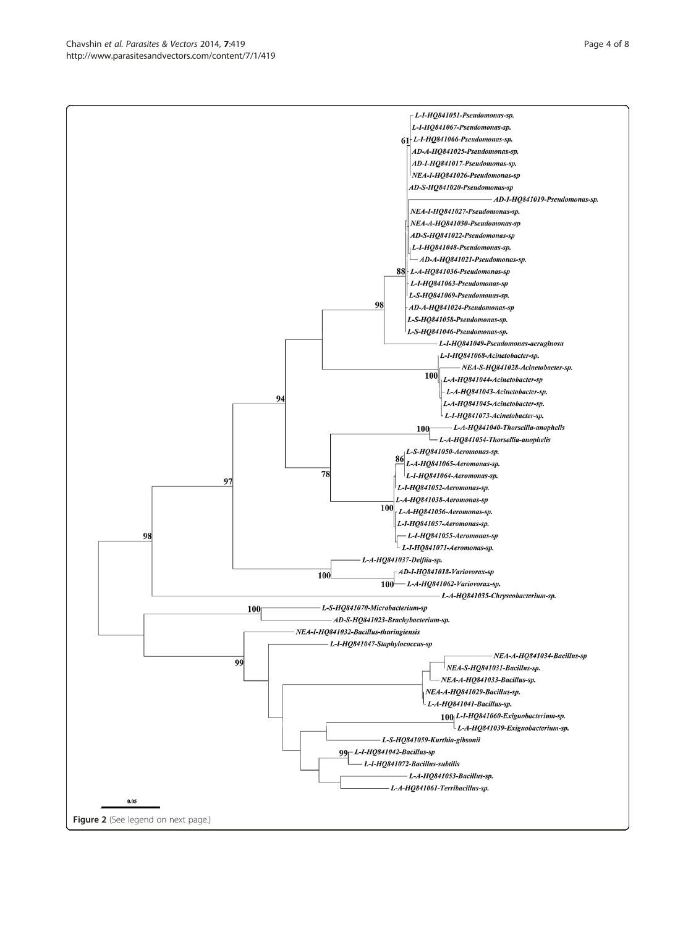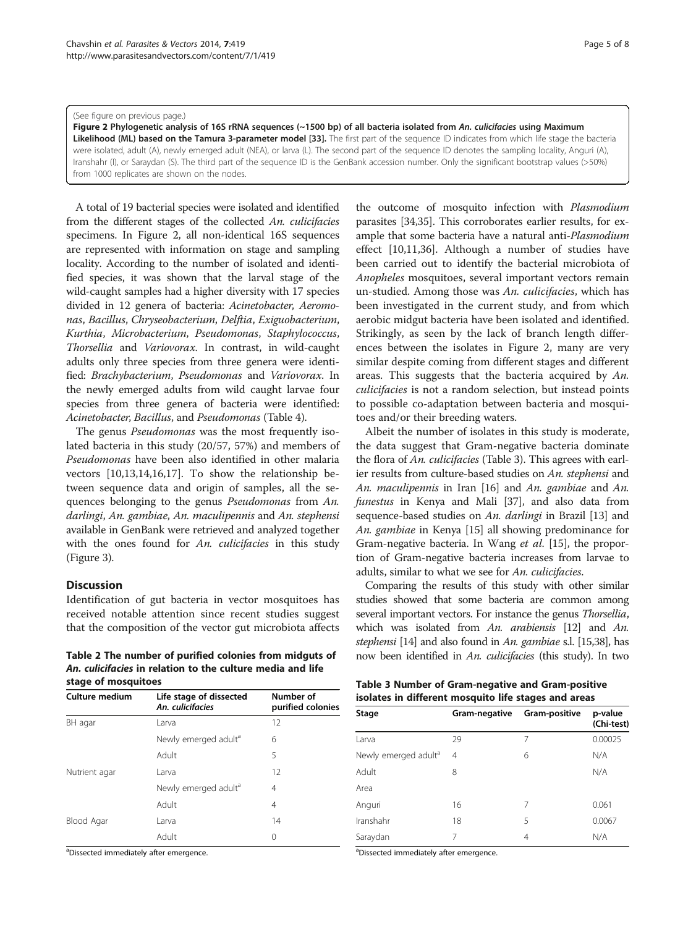#### <span id="page-4-0"></span>(See figure on previous page.)

Figure 2 Phylogenetic analysis of 16S rRNA sequences (~1500 bp) of all bacteria isolated from An. culicifacies using Maximum Likelihood (ML) based on the Tamura 3-parameter model [[33](#page-7-0)]. The first part of the sequence ID indicates from which life stage the bacteria were isolated, adult (A), newly emerged adult (NEA), or larva (L). The second part of the sequence ID denotes the sampling locality, Anguri (A), Iranshahr (I), or Saraydan (S). The third part of the sequence ID is the GenBank accession number. Only the significant bootstrap values (>50%) from 1000 replicates are shown on the nodes.

A total of 19 bacterial species were isolated and identified from the different stages of the collected An. culicifacies specimens. In Figure 2, all non-identical 16S sequences are represented with information on stage and sampling locality. According to the number of isolated and identified species, it was shown that the larval stage of the wild-caught samples had a higher diversity with 17 species divided in 12 genera of bacteria: Acinetobacter, Aeromonas, Bacillus, Chryseobacterium, Delftia, Exiguobacterium, Kurthia, Microbacterium, Pseudomonas, Staphylococcus, Thorsellia and Variovorax. In contrast, in wild-caught adults only three species from three genera were identified: Brachybacterium, Pseudomonas and Variovorax. In the newly emerged adults from wild caught larvae four species from three genera of bacteria were identified: Acinetobacter, Bacillus, and Pseudomonas (Table [4\)](#page-5-0).

The genus *Pseudomonas* was the most frequently isolated bacteria in this study (20/57, 57%) and members of Pseudomonas have been also identified in other malaria vectors [\[10,13,14,16,17\]](#page-7-0). To show the relationship between sequence data and origin of samples, all the sequences belonging to the genus Pseudomonas from An. darlingi, An. gambiae, An. maculipennis and An. stephensi available in GenBank were retrieved and analyzed together with the ones found for An. culicifacies in this study (Figure [3](#page-5-0)).

# **Discussion**

Identification of gut bacteria in vector mosquitoes has received notable attention since recent studies suggest that the composition of the vector gut microbiota affects

Table 2 The number of purified colonies from midguts of An. culicifacies in relation to the culture media and life stage of mosquitoes

| <b>Culture medium</b> | Life stage of dissected<br>An. culicifacies | Number of<br>purified colonies |
|-----------------------|---------------------------------------------|--------------------------------|
| BH agar               | Larva                                       | 12                             |
|                       | Newly emerged adult <sup>a</sup>            | 6                              |
|                       | Adult                                       | 5                              |
| Nutrient agar         | Larva                                       | 12                             |
|                       | Newly emerged adult <sup>a</sup>            | 4                              |
|                       | Adult                                       | 4                              |
| Blood Agar            | Larva                                       | 14                             |
|                       | Adult                                       | 0                              |

<sup>a</sup>Dissected immediately after emergence.

the outcome of mosquito infection with Plasmodium parasites [[34](#page-7-0),[35](#page-7-0)]. This corroborates earlier results, for example that some bacteria have a natural anti-Plasmodium effect [[10,11,36\]](#page-7-0). Although a number of studies have been carried out to identify the bacterial microbiota of Anopheles mosquitoes, several important vectors remain un-studied. Among those was An. culicifacies, which has been investigated in the current study, and from which aerobic midgut bacteria have been isolated and identified. Strikingly, as seen by the lack of branch length differences between the isolates in Figure 2, many are very similar despite coming from different stages and different areas. This suggests that the bacteria acquired by An. culicifacies is not a random selection, but instead points to possible co-adaptation between bacteria and mosquitoes and/or their breeding waters.

Albeit the number of isolates in this study is moderate, the data suggest that Gram-negative bacteria dominate the flora of *An. culicifacies* (Table 3). This agrees with earlier results from culture-based studies on An. stephensi and An. maculipennis in Iran [[16\]](#page-7-0) and An. gambiae and An. funestus in Kenya and Mali [\[37\]](#page-7-0), and also data from sequence-based studies on An. darlingi in Brazil [[13](#page-7-0)] and An. gambiae in Kenya [\[15\]](#page-7-0) all showing predominance for Gram-negative bacteria. In Wang et al. [[15](#page-7-0)], the proportion of Gram-negative bacteria increases from larvae to adults, similar to what we see for An. culicifacies.

Comparing the results of this study with other similar studies showed that some bacteria are common among several important vectors. For instance the genus *Thorsellia*, which was isolated from An. arabiensis [\[12](#page-7-0)] and An. stephensi [\[14](#page-7-0)] and also found in An. gambiae s.l. [\[15,38\]](#page-7-0), has now been identified in An. culicifacies (this study). In two

| Table 3 Number of Gram-negative and Gram-positive    |
|------------------------------------------------------|
| isolates in different mosquito life stages and areas |

| Stage                            | Gram-negative  | Gram-positive | p-value<br>(Chi-test) |
|----------------------------------|----------------|---------------|-----------------------|
| Larva                            | 29             | 7             | 0.00025               |
| Newly emerged adult <sup>a</sup> | $\overline{4}$ | 6             | N/A                   |
| Adult                            | 8              |               | N/A                   |
| Area                             |                |               |                       |
| Anguri                           | 16             | 7             | 0.061                 |
| Iranshahr                        | 18             | 5             | 0.0067                |
| Saraydan                         | 7              | 4             | N/A                   |

a Dissected immediately after emergence.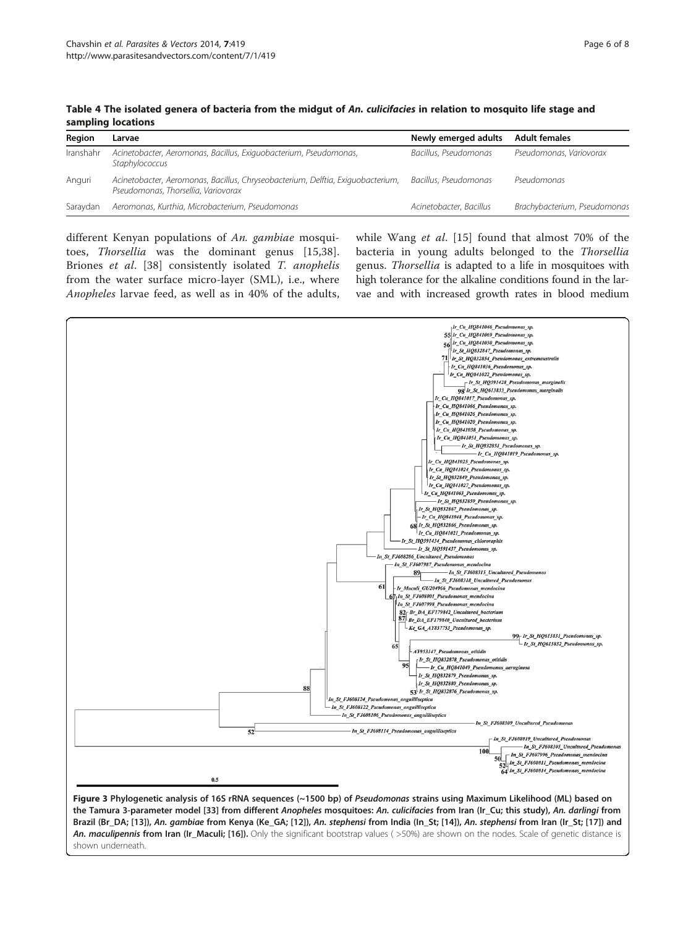<span id="page-5-0"></span>Table 4 The isolated genera of bacteria from the midgut of An. culicifacies in relation to mosquito life stage and sampling locations

| Region    | Larvae                                                                                                                 | Newly emerged adults    | <b>Adult females</b>         |
|-----------|------------------------------------------------------------------------------------------------------------------------|-------------------------|------------------------------|
| Iranshahr | Acinetobacter, Aeromonas, Bacillus, Exiguobacterium, Pseudomonas,<br>Staphylococcus                                    | Bacillus, Pseudomonas   | Pseudomonas, Variovorax      |
| Anguri    | Acinetobacter, Aeromonas, Bacillus, Chryseobacterium, Delftia, Exiguobacterium,<br>Pseudomonas, Thorsellia, Variovorax | Bacillus, Pseudomonas   | Pseudomonas                  |
| Saravdan  | Aeromonas, Kurthia, Microbacterium, Pseudomonas                                                                        | Acinetobacter, Bacillus | Brachybacterium, Pseudomonas |

different Kenyan populations of An. gambiae mosquitoes, Thorsellia was the dominant genus [[15,38](#page-7-0)]. Briones et al. [[38\]](#page-7-0) consistently isolated T. anophelis from the water surface micro-layer (SML), i.e., where Anopheles larvae feed, as well as in 40% of the adults,

while Wang et al. [[15](#page-7-0)] found that almost 70% of the bacteria in young adults belonged to the Thorsellia genus. Thorsellia is adapted to a life in mosquitoes with high tolerance for the alkaline conditions found in the larvae and with increased growth rates in blood medium



the Tamura 3-parameter model [[33](#page-7-0)] from different Anopheles mosquitoes: An. culicifacies from Iran (Ir\_Cu; this study), An. darlingi from Brazil (Br\_DA; [[13](#page-7-0)]), An. gambiae from Kenya (Ke\_GA; [\[12\]](#page-7-0)), An. stephensi from India (In\_St; [\[14\]](#page-7-0)), An. stephensi from Iran (Ir\_St; [[17](#page-7-0)]) and An. maculipennis from Iran (Ir\_Maculi; [\[16\]](#page-7-0)). Only the significant bootstrap values ( >50%) are shown on the nodes. Scale of genetic distance is shown underneath.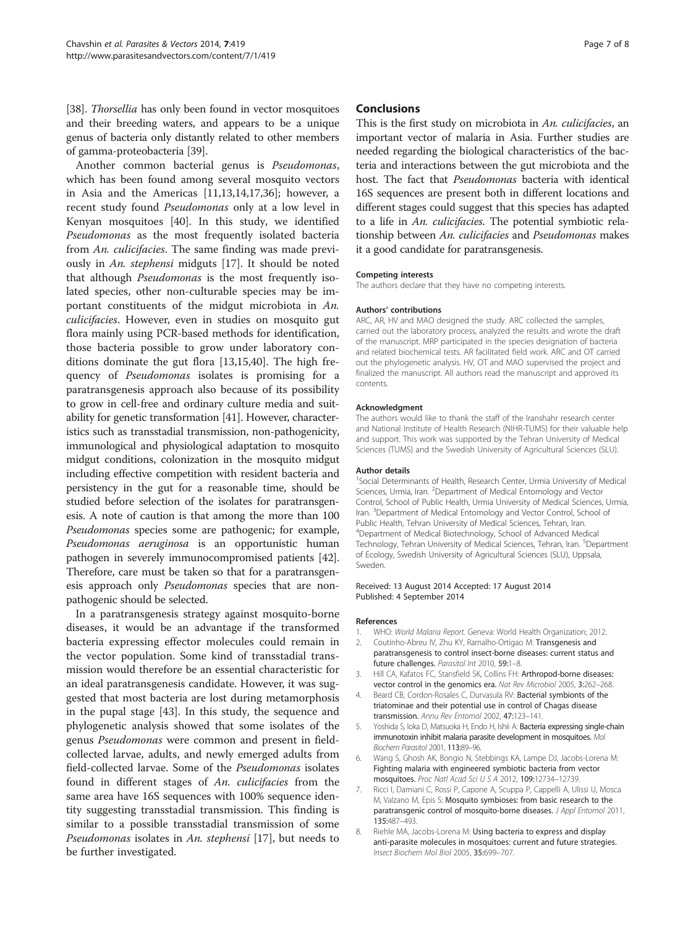<span id="page-6-0"></span>[[38](#page-7-0)]. Thorsellia has only been found in vector mosquitoes and their breeding waters, and appears to be a unique genus of bacteria only distantly related to other members of gamma-proteobacteria [\[39\]](#page-7-0).

Another common bacterial genus is Pseudomonas, which has been found among several mosquito vectors in Asia and the Americas [\[11,13,14,17,36\]](#page-7-0); however, a recent study found Pseudomonas only at a low level in Kenyan mosquitoes [[40\]](#page-7-0). In this study, we identified Pseudomonas as the most frequently isolated bacteria from An. culicifacies. The same finding was made previously in An. stephensi midguts [[17\]](#page-7-0). It should be noted that although Pseudomonas is the most frequently isolated species, other non-culturable species may be important constituents of the midgut microbiota in An. culicifacies. However, even in studies on mosquito gut flora mainly using PCR-based methods for identification, those bacteria possible to grow under laboratory conditions dominate the gut flora [[13,15,40\]](#page-7-0). The high frequency of Pseudomonas isolates is promising for a paratransgenesis approach also because of its possibility to grow in cell-free and ordinary culture media and suitability for genetic transformation [\[41\]](#page-7-0). However, characteristics such as transstadial transmission, non-pathogenicity, immunological and physiological adaptation to mosquito midgut conditions, colonization in the mosquito midgut including effective competition with resident bacteria and persistency in the gut for a reasonable time, should be studied before selection of the isolates for paratransgenesis. A note of caution is that among the more than 100 Pseudomonas species some are pathogenic; for example, Pseudomonas aeruginosa is an opportunistic human pathogen in severely immunocompromised patients [[42](#page-7-0)]. Therefore, care must be taken so that for a paratransgenesis approach only Pseudomonas species that are nonpathogenic should be selected.

In a paratransgenesis strategy against mosquito-borne diseases, it would be an advantage if the transformed bacteria expressing effector molecules could remain in the vector population. Some kind of transstadial transmission would therefore be an essential characteristic for an ideal paratransgenesis candidate. However, it was suggested that most bacteria are lost during metamorphosis in the pupal stage [\[43](#page-7-0)]. In this study, the sequence and phylogenetic analysis showed that some isolates of the genus Pseudomonas were common and present in fieldcollected larvae, adults, and newly emerged adults from field-collected larvae. Some of the Pseudomonas isolates found in different stages of An. culicifacies from the same area have 16S sequences with 100% sequence identity suggesting transstadial transmission. This finding is similar to a possible transstadial transmission of some Pseudomonas isolates in An. stephensi [\[17](#page-7-0)], but needs to be further investigated.

# **Conclusions**

This is the first study on microbiota in An. culicifacies, an important vector of malaria in Asia. Further studies are needed regarding the biological characteristics of the bacteria and interactions between the gut microbiota and the host. The fact that Pseudomonas bacteria with identical 16S sequences are present both in different locations and different stages could suggest that this species has adapted to a life in An. culicifacies. The potential symbiotic relationship between An. culicifacies and Pseudomonas makes it a good candidate for paratransgenesis.

#### Competing interests

The authors declare that they have no competing interests.

#### Authors' contributions

ARC, AR, HV and MAO designed the study. ARC collected the samples, carried out the laboratory process, analyzed the results and wrote the draft of the manuscript. MRP participated in the species designation of bacteria and related biochemical tests. AR facilitated field work. ARC and OT carried out the phylogenetic analysis. HV, OT and MAO supervised the project and finalized the manuscript. All authors read the manuscript and approved its contents.

#### Acknowledgment

The authors would like to thank the staff of the Iranshahr research center and National Institute of Health Research (NIHR-TUMS) for their valuable help and support. This work was supported by the Tehran University of Medical Sciences (TUMS) and the Swedish University of Agricultural Sciences (SLU).

#### Author details

<sup>1</sup>Social Determinants of Health, Research Center, Urmia University of Medical Sciences, Urmia, Iran. <sup>2</sup> Department of Medical Entomology and Vector Control, School of Public Health, Urmia University of Medical Sciences, Urmia, Iran. <sup>3</sup> Department of Medical Entomology and Vector Control, School of Public Health, Tehran University of Medical Sciences, Tehran, Iran. 4 Department of Medical Biotechnology, School of Advanced Medical Technology, Tehran University of Medical Sciences, Tehran, Iran. <sup>5</sup>Department of Ecology, Swedish University of Agricultural Sciences (SLU), Uppsala, Sweden.

#### Received: 13 August 2014 Accepted: 17 August 2014 Published: 4 September 2014

#### References

- 1. WHO: World Malaria Report. Geneva: World Health Organization; 2012.
- 2. Coutinho-Abreu IV, Zhu KY, Ramalho-Ortigao M: Transgenesis and paratransgenesis to control insect-borne diseases: current status and future challenges. Parasitol Int 2010, 59:1–8.
- 3. Hill CA, Kafatos FC, Stansfield SK, Collins FH: Arthropod-borne diseases: vector control in the genomics era. Nat Rev Microbiol 2005, 3:262–268.
- 4. Beard CB, Cordon-Rosales C, Durvasula RV: Bacterial symbionts of the triatominae and their potential use in control of Chagas disease transmission. Annu Rev Entomol 2002, 47:123–141.
- 5. Yoshida S, Ioka D, Matsuoka H, Endo H, Ishii A: Bacteria expressing single-chain immunotoxin inhibit malaria parasite development in mosquitoes. Mol Biochem Parasitol 2001, 113:89–96.
- 6. Wang S, Ghosh AK, Bongio N, Stebbings KA, Lampe DJ, Jacobs-Lorena M: Fighting malaria with engineered symbiotic bacteria from vector mosquitoes. Proc Natl Acad Sci U S A 2012, 109:12734–12739.
- 7. Ricci I, Damiani C, Rossi P, Capone A, Scuppa P, Cappelli A, Ulissi U, Mosca M, Valzano M, Epis S: Mosquito symbioses: from basic research to the paratransgenic control of mosquito-borne diseases. J Appl Entomol 2011, 135:487–493.
- 8. Riehle MA, Jacobs-Lorena M: Using bacteria to express and display anti-parasite molecules in mosquitoes: current and future strategies. Insect Biochem Mol Biol 2005, 35:699–707.